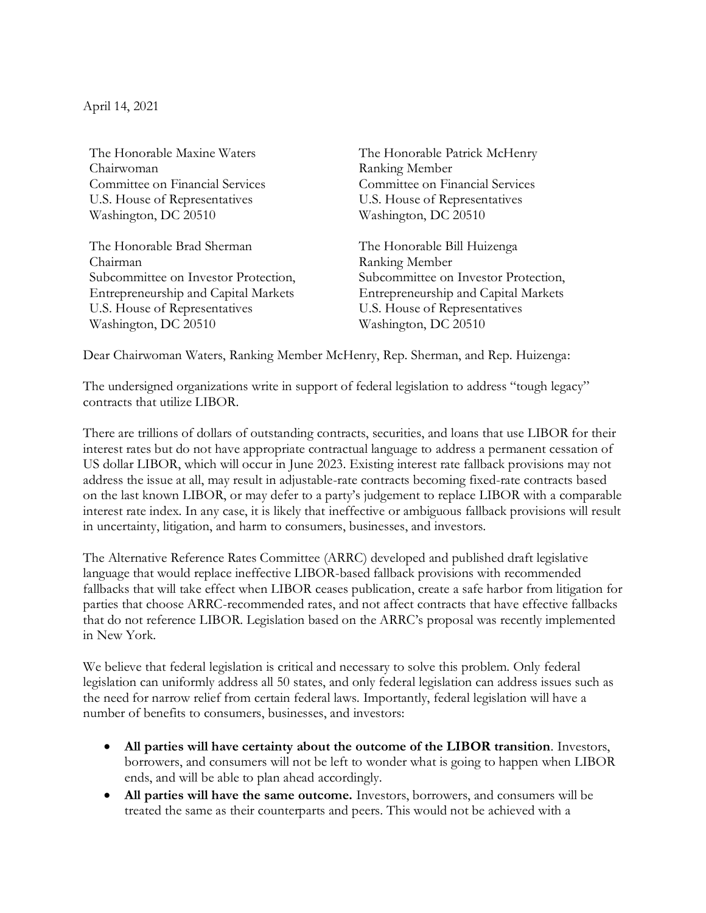April 14, 2021

The Honorable Maxine Waters Chairwoman Committee on Financial Services U.S. House of Representatives Washington, DC 20510

The Honorable Brad Sherman Chairman Subcommittee on Investor Protection, Entrepreneurship and Capital Markets U.S. House of Representatives Washington, DC 20510

The Honorable Patrick McHenry Ranking Member Committee on Financial Services U.S. House of Representatives Washington, DC 20510

The Honorable Bill Huizenga Ranking Member Subcommittee on Investor Protection, Entrepreneurship and Capital Markets U.S. House of Representatives Washington, DC 20510

Dear Chairwoman Waters, Ranking Member McHenry, Rep. Sherman, and Rep. Huizenga:

The undersigned organizations write in support of federal legislation to address "tough legacy" contracts that utilize LIBOR.

There are trillions of dollars of outstanding contracts, securities, and loans that use LIBOR for their interest rates but do not have appropriate contractual language to address a permanent cessation of US dollar LIBOR, which will occur in June 2023. Existing interest rate fallback provisions may not address the issue at all, may result in adjustable-rate contracts becoming fixed-rate contracts based on the last known LIBOR, or may defer to a party's judgement to replace LIBOR with a comparable interest rate index. In any case, it is likely that ineffective or ambiguous fallback provisions will result in uncertainty, litigation, and harm to consumers, businesses, and investors.

The Alternative Reference Rates Committee (ARRC) developed and published draft legislative language that would replace ineffective LIBOR-based fallback provisions with recommended fallbacks that will take effect when LIBOR ceases publication, create a safe harbor from litigation for parties that choose ARRC-recommended rates, and not affect contracts that have effective fallbacks that do not reference LIBOR. Legislation based on the ARRC's proposal was recently implemented in New York.

We believe that federal legislation is critical and necessary to solve this problem. Only federal legislation can uniformly address all 50 states, and only federal legislation can address issues such as the need for narrow relief from certain federal laws. Importantly, federal legislation will have a number of benefits to consumers, businesses, and investors:

- **All parties will have certainty about the outcome of the LIBOR transition**. Investors, borrowers, and consumers will not be left to wonder what is going to happen when LIBOR ends, and will be able to plan ahead accordingly.
- **All parties will have the same outcome.** Investors, borrowers, and consumers will be treated the same as their counterparts and peers. This would not be achieved with a